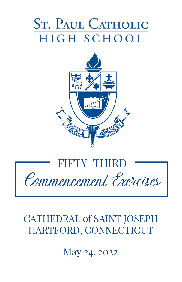## **ST. PAUL CATHOLIC HIGH SCHOOL**



# Commencement Exercises FIFTY-THIRD

### CATHEDRAL of SAINT JOSEPH HARTFORD, CONNECTICUT

May 24, 2022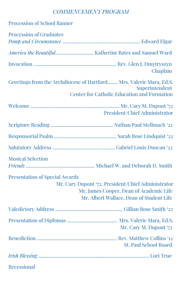#### *COMMENCEMENT PROGRAM*

| <b>Procession of School Banner</b>                                                                                                                                                 |
|------------------------------------------------------------------------------------------------------------------------------------------------------------------------------------|
| <b>Procession of Graduates</b>                                                                                                                                                     |
|                                                                                                                                                                                    |
| Chaplain                                                                                                                                                                           |
| Greetings from the Archdiocese of Hartford Mrs. Valerie Mara, Ed.S.<br>Superintendent<br><b>Center for Catholic Education and Formation</b>                                        |
| President/Chief Administrator                                                                                                                                                      |
|                                                                                                                                                                                    |
|                                                                                                                                                                                    |
|                                                                                                                                                                                    |
| <b>Musical Selection</b>                                                                                                                                                           |
| <b>Presentation of Special Awards</b><br>Mr. Cary Dupont '72, President/Chief Administrator<br>Mr. James Cooper, Dean of Academic Life<br>Mr. Albert Wallace, Dean of Student Life |
|                                                                                                                                                                                    |
| Mr. Cary M. Dupont '72                                                                                                                                                             |
| <b>St. Paul School Board</b>                                                                                                                                                       |
|                                                                                                                                                                                    |
| Recessional                                                                                                                                                                        |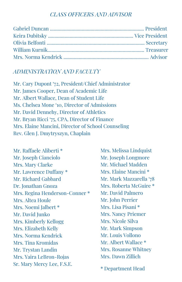#### *CLASS OFFICERS AND ADVISOR*

#### *ADMINISTRATION AND FACULTY*

Mr. Cary Dupont '72, President/Chief Administrator Mr. James Cooper, Dean of Academic Life Mr. Albert Wallace, Dean of Student Life Ms. Chelsea Mone '10, Director of Admissions Mr. David Dennehy, Director of Athletics Mr. Bryan Ricci '75, CPA, Director of Finance Mrs. Elaine Mancini, Director of School Counseling Rev. Glen J. Dmytryszyn, Chaplain

Mr. Raffaele Aliberti \* Mr. Joseph Cianciolo Mrs. Mary Clarke Mr. Lawrence Duffany \* Mr. Richard Gabbard Dr. Jonathan Gnoza Mrs. Regina Henderson-Conner \* Mrs. Altea Houle Mrs. Noemi Jalbert \* Mr. David Junko Mrs. Kimberly Kellogg Mrs. Elizabeth Kelly Mrs. Norma Kendrick Mrs. Tina Kromidas Mr. Trystan Landin Mrs. Yaira LeBron-Rojas Sr. Mary Mercy Lee, F.S.E.

Mrs. Melissa Lindquist Mr. Joseph Longmore Mr. Michael Madden Mrs. Elaine Mancini \* Mr. Mark Mazzarella '78 Mrs. Roberta McGuire \* Mr. David Palmero Mr. John Perrier Mrs. Lisa Pisani \* Mrs. Nancy Priemer Mrs. Nicole Silva Mr. Mark Simpson Mr. Louis Vollono Mr. Albert Wallace \* Mrs. Rosanne Whitney Mrs. Dawn Zillich

\* Department Head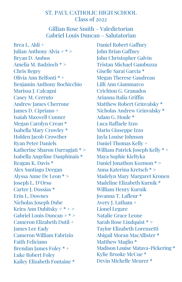#### ST. PAUL CATHOLIC HIGH SCHOOL Class of 2022

#### Gillian Rose Smith – Valedictorian Gabriel Louis Duncan – Salutatorian

Brea L. Aldi + Julian Anthony Alvia  $# * >$ Bryan D. Ambos Amelia M. Badzioch \* > Chris Begey Olivia Ann Belfonti \* + Benjamin Anthony Bochicchio Marissa J. Calcagni Casey M. Cerruto Andrew James Cherrone James D. Cipriano + Isaiah Maxwell Conner Megan Carolyn Crean \* Isabella Mary Crowley \* Holden Jacob Crowther Ryan Peter Daniels Katherine Sharon Darragjati \* > Isabella Angeline Dauphinais \* Reagan K. Davis \* Alex Santiago Deegan Alyssa Anne De Leon \* > Joseph L. D'Orso Carter J. Dossias \* Erin L. Downes Nicholas Joseph Dube Keira Ann Dubitsky # \* + > Gabriel Louis Duncan # \* > Cameron Elizabeth Dutil + James Lee Eady Cameron William Fabrizio Faith Feliciano Brendan James Foley \* + Luke Robert Foley Kailey Elizabeth Fontaine \*

Daniel Robert Gaffney John Brian Gaffney John Christopher Galvin Tristan Michael Gambuzza Giselle Saraí Garcia \* Megan Therese Gaudreau Lilli Ann Giammarco Crichton G. Granados Arianna Italia Griffin Matthew Robert Grinvalsky \* Nicholas Andrew Grinvalsky \* Adam G. Houle \* Luca Raffaele Izzo Mario Giuseppe Izzo Jayla Louise Johnson Daniel Thomas Kelly + William Patrick Joseph Kelly \* + Maya Sophie Kieltyka Daniel Jonathon Kozmon \* > Anna Katerina Kretsch \* > Madelyn Mary Margaret Kronen Madeline Elizabeth Kurnik \* William Henry Kurnik Jovanna T. Lafleur \* Avery J. Latham + Lionel Legare Natalie Grace Leone Sarah Rose Lindquist \* > Taylor Elizabeth Lorenzetti Abigail Moran MacAllister \* Matthew Maglio \* Madison Louise Matava-Pickering \* Kylie Brooke McCue \* Devin Michelle Meurer \*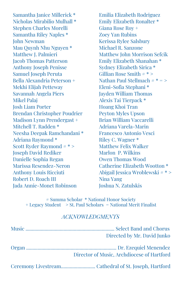Samantha Janice Millerick \* Nicholas Mirabilio Mulhall \* Stephen Charles Morelli Samantha Riley Naples \* John Newman Mau Quynh Nhu Nguyen \* Matthew J. Palmieri Jacob Thomas Patterson Anthony Joseph Penisse Samuel Joseph Peruta Bella Alexandria Peterson + Mekhi Elijah Petteway Savannah Angela Piers Mikel Palaj Josh Liam Porter Brendan Christopher Poudrier Madison Lynn Prendergast + Mitchell T. Radden \* Neesha Deepak Ramchandani \* Adriana Raymond \* Scott Ryder Raymond # \* > Joseph David Rediker Danielle Sophia Regan Marissa Resendez-Neron Anthony Louis Ricciuti Robert D. Roach III Jada Annie-Monet Robinson

Emilia Elizabeth Rodriguez Emily Elizabeth Ronalter \* Giana Rose Roy + Zoey Yan Rubins Kerissa Rylee Salsbury Michael R. Sanzone Matthew John Morrison Sefcik Emily Elizabeth Shanahan \* Sydney Elizabeth Sirica \* Gillian Rose Smith  $# * > 0$ Nathan Paul Stellmach  $# * = >$ Eleni-Sofia Stephani \* Jayden William Thomas Alexis Tai Tierpack \* Hoang Khoi Tran Peyton Myles Upson Brian William Vaccarelli Adriana Varela-Marin Francesco Antonio Vesci Riley C. Wagner \* Matthew Felix Walker Marlon P. Wilkins Owen Thomas Wood Catherine Elizabeth Wootton \* Abigail Jessica Wroblewski # \* > Nina Yang Joshua N. Zatulskis

# Summa Scholar \* National Honor Society + Legacy Student > St. Paul Scholars = National Merit Finalist

#### *ACKNOWLEDGMENTS*

| Directed by Mr. David Junko                |
|--------------------------------------------|
| Director of Music, Archdiocese of Hartford |
|                                            |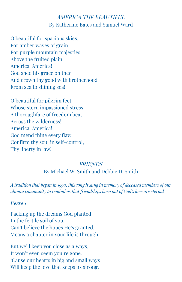#### *AMERICA THE BEAUTIFUL* By Katherine Bates and Samuel Ward

O beautiful for spacious skies, For amber waves of grain, For purple mountain majesties Above the fruited plain! America! America! God shed his grace on thee And crown thy good with brotherhood From sea to shining sea!

O beautiful for pilgrim feet Whose stern impassioned stress A thoroughfare of freedom beat Across the wilderness! America! America! God mend thine every flaw, Confirm thy soul in self-control, Thy liberty in law!

#### *FRIENDS* By Michael W. Smith and Debbie D. Smith

*A tradition that began in 1990, this song is sung in memory of deceased members of our alumni community to remind us that friendships born out of God's love are eternal.*

#### *Verse 1*

Packing up the dreams God planted In the fertile soil of you. Can't believe the hopes He's granted, Means a chapter in your life is through.

But we'll keep you close as always, It won't even seem you're gone. 'Cause our hearts in big and small ways Will keep the love that keeps us strong.